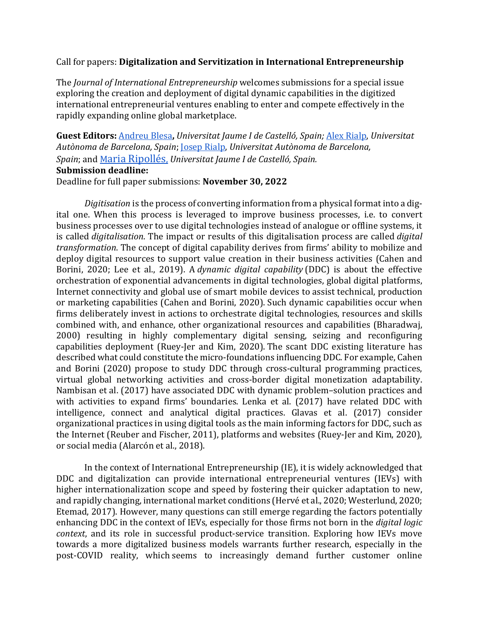### Call for papers: **Digitalization and Servitization in International Entrepreneurship**

The *Journal of International Entrepreneurship* welcomes submissions for a special issue exploring the creation and deployment of digital dynamic capabilities in the digitized international entrepreneurial ventures enabling to enter and compete effectively in the rapidly expanding online global marketplace.

**Guest Editors:** [Andreu](mailto:blesa@uji.es) Blesa**,** *Universitat Jaume I de Castelló, Spain;* [Alex Rialp,](mailto:Alex.Rialp@uab.cat) *Universitat Autònoma de Barcelona, Spain*; [Josep Rialp,](mailto:%20joseph.rialp@uab.cat) *Universitat Autònoma de Barcelona, Spain*; and [Maria Ripollés,](mailto:%20maria.ripolles@uji.es) *Universitat Jaume I de Castelló, Spain.* **Submission deadline:** Deadline for full paper submissions: **November 30, 2022**

*Digitisation* is the process of converting information from a physical format into a digital one. When this process is leveraged to improve business processes, i.e. to convert business processes over to use digital technologies instead of analogue or offline systems, it is called *digitalisation*. The impact or results of this digitalisation process are called *digital transformation*. The concept of digital capability derives from firms' ability to mobilize and deploy digital resources to support value creation in their business activities (Cahen and Borini, 2020; Lee et al., 2019). A *dynamic digital capability* (DDC) is about the effective orchestration of exponential advancements in digital technologies, global digital platforms, Internet connectivity and global use of smart mobile devices to assist technical, production or marketing capabilities (Cahen and Borini, 2020). Such dynamic capabilities occur when firms deliberately invest in actions to orchestrate digital technologies, resources and skills combined with, and enhance, other organizational resources and capabilities (Bharadwaj, 2000) resulting in highly complementary digital sensing, seizing and reconfiguring capabilities deployment (Ruey-Jer and Kim, 2020). The scant DDC existing literature has described what could constitute the micro-foundations influencing DDC. For example, Cahen and Borini (2020) propose to study DDC through cross-cultural programming practices, virtual global networking activities and cross-border digital monetization adaptability. Nambisan et al. (2017) have associated DDC with dynamic problem–solution practices and with activities to expand firms' boundaries. Lenka et al. (2017) have related DDC with intelligence, connect and analytical digital practices. Glavas et al. (2017) consider organizational practices in using digital tools as the main informing factors for DDC, such as the Internet (Reuber and Fischer, 2011), platforms and websites (Ruey-Jer and Kim, 2020), or social media (Alarcón et al., 2018).

In the context of International Entrepreneurship (IE), it is widely acknowledged that DDC and digitalization can provide international entrepreneurial ventures (IEVs) with higher internationalization scope and speed by fostering their quicker adaptation to new, and rapidly changing, international market conditions (Hervé et al., 2020; Westerlund, 2020; Etemad, 2017). However, many questions can still emerge regarding the factors potentially enhancing DDC in the context of IEVs, especially for those firms not born in the *digital logic context*, and its role in successful product-service transition. Exploring how IEVs move towards a more digitalized business models warrants further research, especially in the post-COVID reality, which seems to increasingly demand further customer online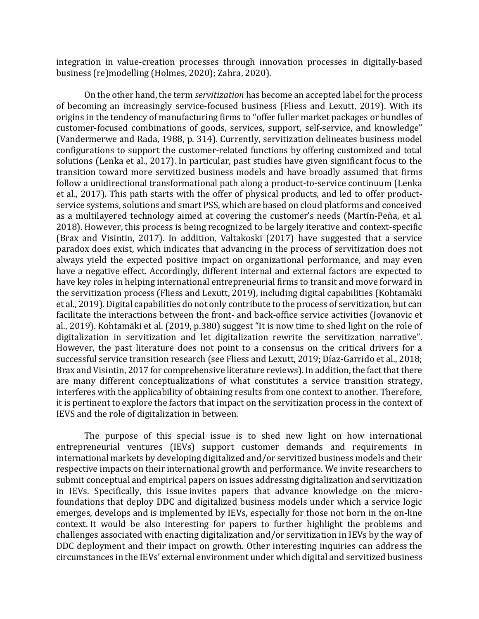integration in value-creation processes through innovation processes in digitally-based business (re)modelling (Holmes, 2020); Zahra, 2020).

On the other hand, the term *servitization* has become an accepted label for the process of becoming an increasingly service-focused business (Fliess and Lexutt, 2019). With its origins in the tendency of manufacturing firms to "offer fuller market packages or bundles of customer-focused combinations of goods, services, support, self-service, and knowledge" (Vandermerwe and Rada, 1988, p. 314). Currently, servitization delineates business model configurations to support the customer-related functions by offering customized and total solutions (Lenka et al., 2017). In particular, past studies have given significant focus to the transition toward more servitized business models and have broadly assumed that firms follow a unidirectional transformational path along a product-to-service continuum (Lenka et al., 2017). This path starts with the offer of physical products, and led to offer productservice systems, solutions and smart PSS, which are based on cloud platforms and conceived as a multilayered technology aimed at covering the customer's needs (Martín-Peña, et al. 2018). However, this process is being recognized to be largely iterative and context-specific (Brax and Visintin, 2017). In addition, Valtakoski (2017) have suggested that a service paradox does exist, which indicates that advancing in the process of servitization does not always yield the expected positive impact on organizational performance, and may even have a negative effect. Accordingly, different internal and external factors are expected to have key roles in helping international entrepreneurial firms to transit and move forward in the servitization process (Fliess and Lexutt, 2019), including digital capabilities (Kohtamäki et al., 2019). Digital capabilities do not only contribute to the process of servitization, but can facilitate the interactions between the front- and back-office service activities (Jovanovic et al., 2019). Kohtamäki et al. (2019, p.380) suggest "It is now time to shed light on the role of digitalization in servitization and let digitalization rewrite the servitization narrative". However, the past literature does not point to a consensus on the critical drivers for a successful service transition research (see Fliess and Lexutt, 2019; Díaz-Garrido et al., 2018; Brax and Visintin, 2017 for comprehensive literature reviews). In addition, the fact that there are many different conceptualizations of what constitutes a service transition strategy, interferes with the applicability of obtaining results from one context to another. Therefore, it is pertinent to explore the factors that impact on the servitization process in the context of IEVS and the role of digitalization in between.

The purpose of this special issue is to shed new light on how international entrepreneurial ventures (IEVs) support customer demands and requirements in international markets by developing digitalized and/or servitized business models and their respective impacts on their international growth and performance. We invite researchers to submit conceptual and empirical papers on issues addressing digitalization and servitization in IEVs. Specifically, this issue invites papers that advance knowledge on the microfoundations that deploy DDC and digitalized business models under which a service logic emerges, develops and is implemented by IEVs, especially for those not born in the on-line context. It would be also interesting for papers to further highlight the problems and challenges associated with enacting digitalization and/or servitization in IEVs by the way of DDC deployment and their impact on growth. Other interesting inquiries can address the circumstances in the IEVs' external environment under which digital and servitized business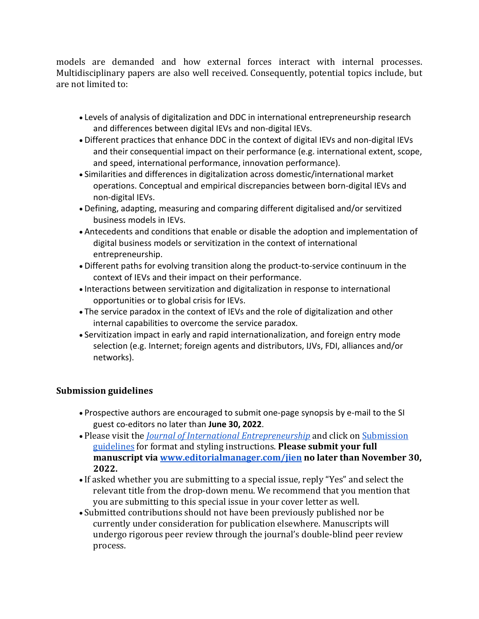models are demanded and how external forces interact with internal processes. Multidisciplinary papers are also well received. Consequently, potential topics include, but are not limited to:

- Levels of analysis of digitalization and DDC in international entrepreneurship research and differences between digital IEVs and non-digital IEVs.
- Different practices that enhance DDC in the context of digital IEVs and non-digital IEVs and their consequential impact on their performance (e.g. international extent, scope, and speed, international performance, innovation performance).
- Similarities and differences in digitalization across domestic/international market operations. Conceptual and empirical discrepancies between born-digital IEVs and non-digital IEVs.
- Defining, adapting, measuring and comparing different digitalised and/or servitized business models in IEVs.
- Antecedents and conditions that enable or disable the adoption and implementation of digital business models or servitization in the context of international entrepreneurship.
- Different paths for evolving transition along the product-to-service continuum in the context of IEVs and their impact on their performance.
- Interactions between servitization and digitalization in response to international opportunities or to global crisis for IEVs.
- The service paradox in the context of IEVs and the role of digitalization and other internal capabilities to overcome the service paradox.
- Servitization impact in early and rapid internationalization, and foreign entry mode selection (e.g. Internet; foreign agents and distributors, IJVs, FDI, alliances and/or networks).

# **Submission guidelines**

- Prospective authors are encouraged to submit one-page synopsis by e-mail to the SI guest co-editors no later than **June 30, 2022**.
- Please visit the *[Journal of International Entrepreneurship](https://www.springer.com/journal/10843/updates)* and click on [Submission](https://www.springer.com/journal/10843/submission-guidelines)  [guidelines](https://www.springer.com/journal/10843/submission-guidelines) for format and styling instructions. **Please submit your full manuscript via [www.editorialmanager.com/jien](http://www.editorialmanager.com/jien) no later than November 30, 2022.**
- If asked whether you are submitting to a special issue, reply "Yes" and select the relevant title from the drop-down menu. We recommend that you mention that you are submitting to this special issue in your cover letter as well.
- Submitted contributions should not have been previously published nor be currently under consideration for publication elsewhere. Manuscripts will undergo rigorous peer review through the journal's double-blind peer review process.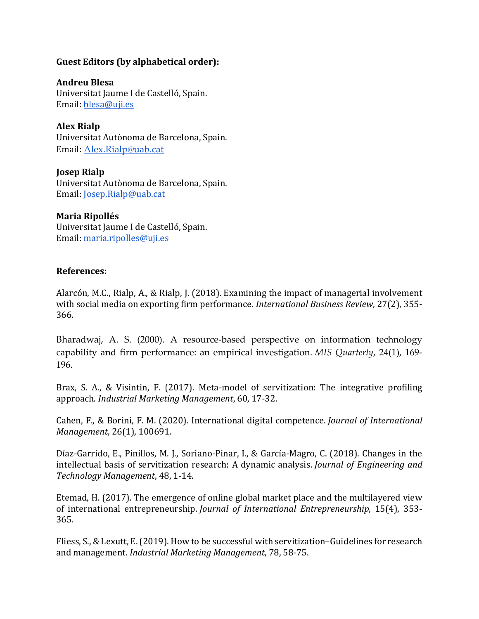## **Guest Editors (by alphabetical order):**

**Andreu Blesa** 

Universitat Jaume I de Castelló, Spain. Email: [blesa@uji.es](mailto:blesa@uji.es) 

**Alex Rialp**

Universitat Autònoma de Barcelona, Spain. Email: [Alex.Rialp@uab.cat](mailto:Alex.Rialp@uab.cat)

**Josep Rialp**  Universitat Autònoma de Barcelona, Spain. Email: [Josep.Rialp@uab.cat](mailto:Josep.Rialp@uab.cat) 

## **Maria Ripollés**

Universitat Jaume I de Castelló, Spain. Email: [maria.ripolles@uji.es](mailto:maria.ripolles@uji.es)

## **References:**

Alarcón, M.C., Rialp, A., & Rialp, J. (2018). Examining the impact of managerial involvement with social media on exporting firm performance. *International Business Review*, 27(2), 355- 366.

Bharadwaj, A. S. (2000). A resource-based perspective on information technology capability and firm performance: an empirical investigation. *MIS Quarterly*, 24(1), 169- 196.

Brax, S. A., & Visintin, F. (2017). Meta-model of servitization: The integrative profiling approach. *Industrial Marketing Management*, 60, 17-32.

Cahen, F., & Borini, F. M. (2020). International digital competence. *Journal of International Management*, 26(1), 100691.

Díaz-Garrido, E., Pinillos, M. J., Soriano-Pinar, I., & García-Magro, C. (2018). Changes in the intellectual basis of servitization research: A dynamic analysis. *Journal of Engineering and Technology Management*, 48, 1-14.

Etemad, H. (2017). The emergence of online global market place and the multilayered view of international entrepreneurship. *Journal of International Entrepreneurship*, 15(4), 353- 365.

Fliess, S., & Lexutt, E. (2019). How to be successful with servitization–Guidelines for research and management. *Industrial Marketing Management*, 78, 58-75.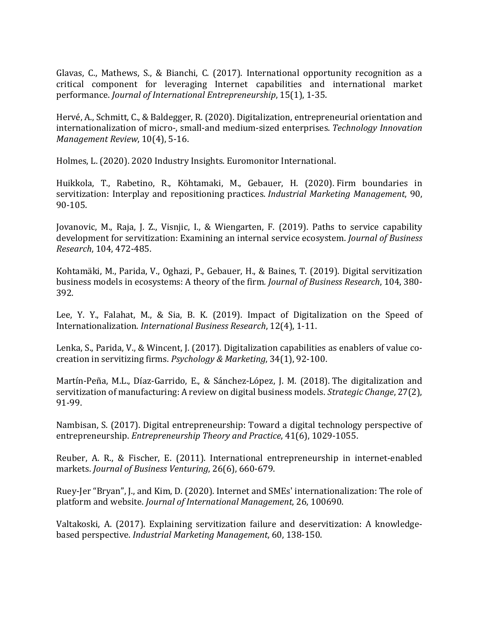Glavas, C., Mathews, S., & Bianchi, C. (2017). International opportunity recognition as a critical component for leveraging Internet capabilities and international market performance. *Journal of International Entrepreneurship*, 15(1), 1-35.

Hervé, A., Schmitt, C., & Baldegger, R. (2020). Digitalization, entrepreneurial orientation and internationalization of micro-, small-and medium-sized enterprises. *Technology Innovation Management Review*, 10(4), 5-16.

Holmes, L. (2020). 2020 Industry Insights. Euromonitor International.

Huikkola, T., Rabetino, R., Köhtamaki, M., Gebauer, H. (2020). Firm boundaries in servitization: Interplay and repositioning practices. *Industrial Marketing Management*, 90, 90-105.

Jovanovic, M., Raja, J. Z., Visnjic, I., & Wiengarten, F. (2019). Paths to service capability development for servitization: Examining an internal service ecosystem. *Journal of Business Research*, 104, 472-485.

Kohtamäki, M., Parida, V., Oghazi, P., Gebauer, H., & Baines, T. (2019). Digital servitization business models in ecosystems: A theory of the firm*. Journal of Business Research*, 104, 380- 392.

Lee, Y. Y., Falahat, M., & Sia, B. K. (2019). Impact of Digitalization on the Speed of Internationalization. *International Business Research*, 12(4), 1-11.

Lenka, S., Parida, V., & Wincent, J. (2017). Digitalization capabilities as enablers of value cocreation in servitizing firms. *Psychology & Marketing*, 34(1), 92-100.

Martín-Peña, M.L., Díaz-Garrido, E., & Sánchez-López, J. M. (2018). The digitalization and servitization of manufacturing: A review on digital business models. *Strategic Change*, 27(2), 91-99.

Nambisan, S. (2017). Digital entrepreneurship: Toward a digital technology perspective of entrepreneurship. *Entrepreneurship Theory and Practice*, 41(6), 1029-1055.

Reuber, A. R., & Fischer, E. (2011). International entrepreneurship in internet-enabled markets. *Journal of Business Venturing*, 26(6), 660-679.

Ruey-Jer "Bryan", J., and Kim, D. (2020). Internet and SMEs' internationalization: The role of platform and website. *Journal of International Management*, 26, 100690.

Valtakoski, A. (2017). Explaining servitization failure and deservitization: A knowledgebased perspective. *Industrial Marketing Management*, 60, 138-150.